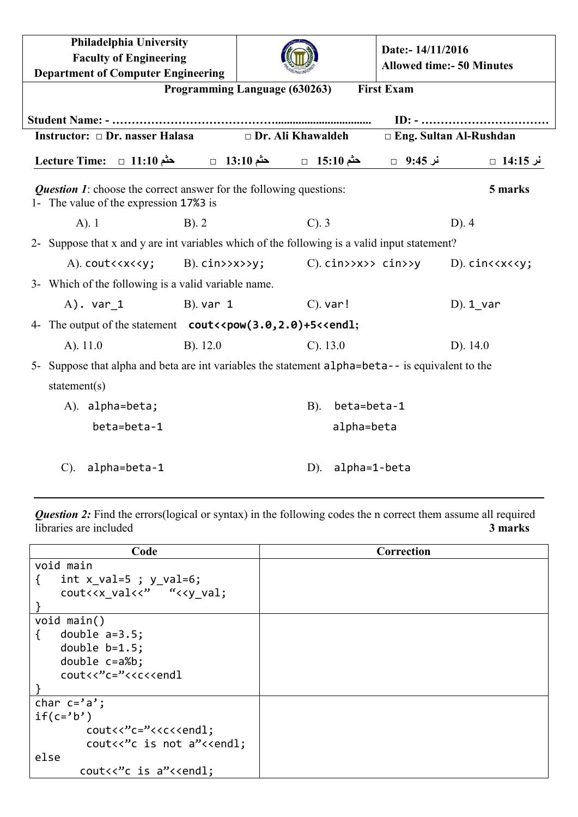| Philadelphia University<br><b>Faculty of Engineering</b><br><b>Department of Computer Engineering</b>                                                             |              |                          |             |              | Date:-14/11/2016<br><b>Allowed time:- 50 Minutes</b> |                                                  |
|-------------------------------------------------------------------------------------------------------------------------------------------------------------------|--------------|--------------------------|-------------|--------------|------------------------------------------------------|--------------------------------------------------|
| Programming Language (630263)<br><b>First Exam</b>                                                                                                                |              |                          |             |              |                                                      |                                                  |
|                                                                                                                                                                   |              |                          |             |              |                                                      |                                                  |
| Instructor: $\Box$ Dr. nasser Halasa                                                                                                                              |              | $\Box$ Dr. Ali Khawaldeh |             |              |                                                      | $\Box$ Eng. Sultan Al-Rushdan                    |
| $\text{Lecture Time:} \quad \Box \quad 11:10 \quad \text{A} \quad \Box \quad 13:10 \quad \Box \quad \Box \quad 15:10 \quad \Box \quad \Box \quad 9:45 \quad \Box$ |              |                          |             |              |                                                      |                                                  |
| <b>Question 1:</b> choose the correct answer for the following questions:<br>5 marks<br>1- The value of the expression 17%3 is                                    |              |                          |             |              |                                                      |                                                  |
| $A)$ . 1                                                                                                                                                          | $B)$ . 2     |                          | $C$ ). $3$  |              |                                                      | $D$ ). 4                                         |
| 2- Suppose that x and y are int variables which of the following is a valid input statement?                                                                      |              |                          |             |              |                                                      |                                                  |
| $A)$ . cout $\langle x \rangle \langle y;$                                                                                                                        |              | $B)$ . $cin>>>>y$ ;      |             |              | $C$ ). $c$ in>>x>> $c$ in>>y                         | $D$ ). $cinc\langle x \langle \langle y \rangle$ |
| 3- Which of the following is a valid variable name.                                                                                                               |              |                          |             |              |                                                      |                                                  |
| $A)$ . var 1                                                                                                                                                      | $B)$ . var 1 |                          | $C$ ). var! |              |                                                      | $D$ ). 1 var                                     |
| 4- The output of the statement cout << pow(3.0, 2.0) +5<< end1;                                                                                                   |              |                          |             |              |                                                      |                                                  |
| $A)$ . 11.0                                                                                                                                                       | $B)$ . 12.0  |                          | $C)$ . 13.0 |              |                                                      | $D)$ . 14.0                                      |
| 5- Suppose that alpha and beta are int variables the statement alpha=beta-- is equivalent to the                                                                  |              |                          |             |              |                                                      |                                                  |
| statement(s)                                                                                                                                                      |              |                          |             |              |                                                      |                                                  |
| A). alpha=beta;                                                                                                                                                   |              |                          | B).         | beta=beta-1  |                                                      |                                                  |
| beta=beta-1                                                                                                                                                       |              |                          |             | alpha=beta   |                                                      |                                                  |
| alpha=beta-1<br>$C$ ).                                                                                                                                            |              |                          | $D)$ .      | alpha=1-beta |                                                      |                                                  |

**Question 2:** Find the errors(logical or syntax) in the following codes the n correct them assume all required libraries are included **3 marks**

| Code                                                    | Correction |
|---------------------------------------------------------|------------|
| void main                                               |            |
| int $x$ val=5 ; $y$ val=6;<br>₹                         |            |
| cout< <x "<<y="" td="" val;<="" val<<"=""><td></td></x> |            |
|                                                         |            |
| void main()                                             |            |
| double $a=3.5$ ;<br>₹                                   |            |
| double $b=1.5$ ;                                        |            |
| double $c=a\%b$ ;                                       |            |
| cout<<"c="< <c<<endl< td=""><td></td></c<<endl<>        |            |
|                                                         |            |
| char $c = 'a'$ ;                                        |            |
| $if(c='b')$                                             |            |
|                                                         |            |
| cout<<"c is not a"< <endl;< td=""><td></td></endl;<>    |            |
| else                                                    |            |
| $cout<<$ " $c$ is $a$ " $<<$ endl;                      |            |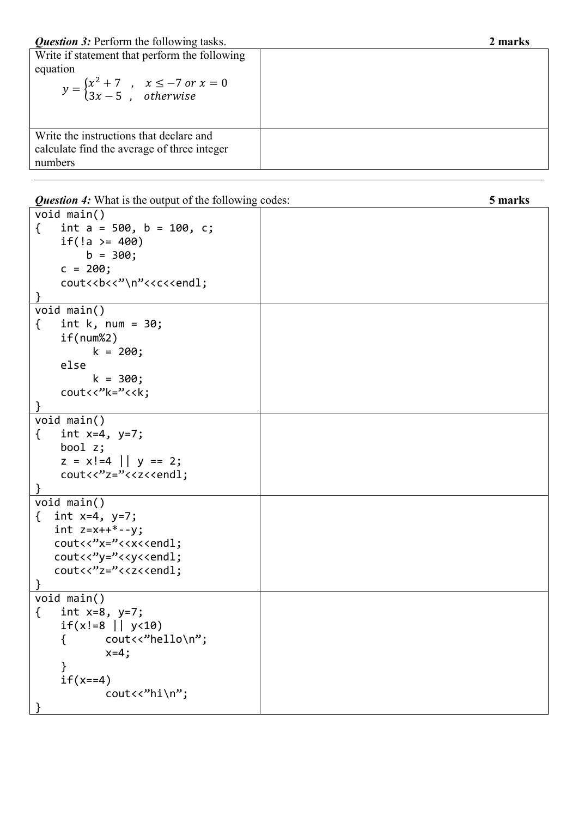| Write if statement that perform the following<br>equation<br>$y = \begin{cases} x^2 + 7, & x \le -7 \text{ or } x = 0 \\ 3x - 5, & otherwise \end{cases}$ |  |
|-----------------------------------------------------------------------------------------------------------------------------------------------------------|--|
| Write the instructions that declare and<br>calculate find the average of three integer<br>numbers                                                         |  |

*Question 4:* What is the output of the following codes: **5 marks**

| void main()                                        |  |
|----------------------------------------------------|--|
| int $a = 500$ , $b = 100$ , $c$ ;<br>€             |  |
| if(!a >= $400$ )                                   |  |
| $b = 300;$                                         |  |
| $c = 200;$                                         |  |
| cout<<br>cout<<br>cout<<br>cout<<br>               |  |
|                                                    |  |
| void main()                                        |  |
| int $k$ , num = 30;<br>€                           |  |
| if(num%2)                                          |  |
| $k = 200;$                                         |  |
| else                                               |  |
| $k = 300;$                                         |  |
| cout<<"k="< <k;< td=""><td></td></k;<>             |  |
|                                                    |  |
| void main()                                        |  |
| int $x=4$ , $y=7$ ;<br>$\{$                        |  |
| bool $z$ ;                                         |  |
| $z = x! = 4$    $y = 2;$                           |  |
| cout<<"z="< <z<<endl;< td=""><td></td></z<<endl;<> |  |
|                                                    |  |
| void main()                                        |  |
| { int $x=4$ , $y=7$ ;                              |  |
| int $z=x++*-y;$                                    |  |
| cout<<"x="< <x<<endl;< td=""><td></td></x<<endl;<> |  |
| cout<<"y="< <y<<endl;< td=""><td></td></y<<endl;<> |  |
| cout<<"z="< <z<<endl;< td=""><td></td></z<<endl;<> |  |
|                                                    |  |
| void main()                                        |  |
| int $x=8$ , $y=7$ ;<br>€                           |  |
| $if(x!=8     y<10)$                                |  |
| cout<<"hello\n";<br>₹                              |  |
| $x=4;$                                             |  |
|                                                    |  |
| $if(x == 4)$                                       |  |
| $c$ out<<"hi\n";                                   |  |
|                                                    |  |